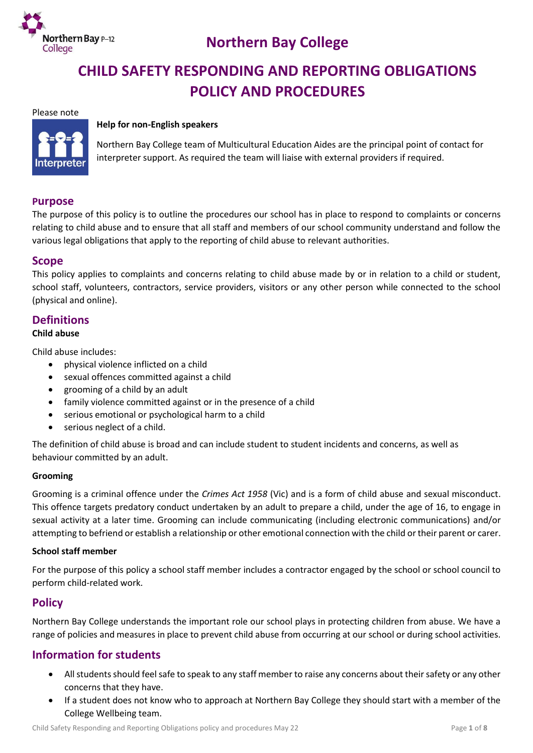

# **Northern Bay College**

# **CHILD SAFETY RESPONDING AND REPORTING OBLIGATIONS POLICY AND PROCEDURES**

#### Please note



#### **Help for non-English speakers**

Northern Bay College team of Multicultural Education Aides are the principal point of contact for interpreter support. As required the team will liaise with external providers if required.

### **Purpose**

The purpose of this policy is to outline the procedures our school has in place to respond to complaints or concerns relating to child abuse and to ensure that all staff and members of our school community understand and follow the various legal obligations that apply to the reporting of child abuse to relevant authorities.

### **Scope**

This policy applies to complaints and concerns relating to child abuse made by or in relation to a child or student, school staff, volunteers, contractors, service providers, visitors or any other person while connected to the school (physical and online).

## **Definitions**

#### **Child abuse**

Child abuse includes:

- physical violence inflicted on a child
- sexual offences committed against a child
- grooming of a child by an adult
- family violence committed against or in the presence of a child
- serious emotional or psychological harm to a child
- serious neglect of a child.

The definition of child abuse is broad and can include student to student incidents and concerns, as well as behaviour committed by an adult.

#### **Grooming**

Grooming is a criminal offence under the *Crimes Act 1958* (Vic) and is a form of child abuse and sexual misconduct. This offence targets predatory conduct undertaken by an adult to prepare a child, under the age of 16, to engage in sexual activity at a later time. Grooming can include communicating (including electronic communications) and/or attempting to befriend or establish a relationship or other emotional connection with the child or their parent or carer.

#### **School staff member**

For the purpose of this policy a school staff member includes a contractor engaged by the school or school council to perform child-related work.

## **Policy**

Northern Bay College understands the important role our school plays in protecting children from abuse. We have a range of policies and measures in place to prevent child abuse from occurring at our school or during school activities.

## **Information for students**

- All students should feel safe to speak to any staff member to raise any concerns about their safety or any other concerns that they have.
- If a student does not know who to approach at Northern Bay College they should start with a member of the College Wellbeing team.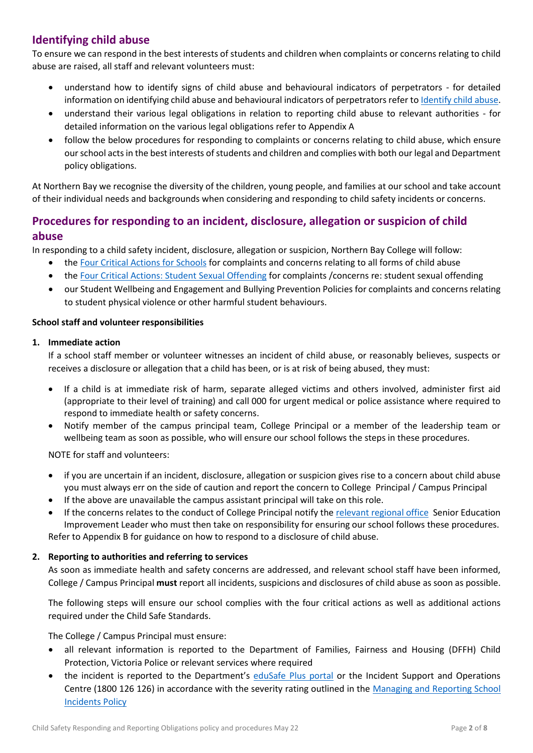# **Identifying child abuse**

To ensure we can respond in the best interests of students and children when complaints or concerns relating to child abuse are raised, all staff and relevant volunteers must:

- understand how to identify signs of child abuse and behavioural indicators of perpetrators for detailed information on identifying child abuse and behavioural indicators of perpetrators refer to [Identify child abuse.](https://www.education.vic.gov.au/school/teachers/health/childprotection/Pages/identify.aspx)
- understand their various legal obligations in relation to reporting child abuse to relevant authorities for detailed information on the various legal obligations refer to Appendix A
- follow the below procedures for responding to complaints or concerns relating to child abuse, which ensure our school acts in the best interests of students and children and complies with both our legal and Department policy obligations.

At Northern Bay we recognise the diversity of the children, young people, and families at our school and take account of their individual needs and backgrounds when considering and responding to child safety incidents or concerns.

# **Procedures for responding to an incident, disclosure, allegation or suspicion of child abuse**

In responding to a child safety incident, disclosure, allegation or suspicion, Northern Bay College will follow:

- th[e Four Critical Actions for Schools](https://www.education.vic.gov.au/Documents/about/programs/health/protect/FourCriticalActions_ChildAbuse.pdf) for complaints and concerns relating to all forms of child abuse
- th[e Four Critical Actions: Student Sexual Offending](https://www.education.vic.gov.au/school/teachers/health/childprotection/Pages/stusexual.aspx) for complaints /concerns re: student sexual offending
- our Student Wellbeing and Engagement and Bullying Prevention Policies for complaints and concerns relating to student physical violence or other harmful student behaviours.

## **School staff and volunteer responsibilities**

## **1. Immediate action**

If a school staff member or volunteer witnesses an incident of child abuse, or reasonably believes, suspects or receives a disclosure or allegation that a child has been, or is at risk of being abused, they must:

- If a child is at immediate risk of harm, separate alleged victims and others involved, administer first aid (appropriate to their level of training) and call 000 for urgent medical or police assistance where required to respond to immediate health or safety concerns.
- Notify member of the campus principal team, College Principal or a member of the leadership team or wellbeing team as soon as possible, who will ensure our school follows the steps in these procedures.

NOTE for staff and volunteers:

- if you are uncertain if an incident, disclosure, allegation or suspicion gives rise to a concern about child abuse you must always err on the side of caution and report the concern to College Principal / Campus Principal
- If the above are unavailable the campus assistant principal will take on this role.
- If the concerns relates to the conduct of College Principal notify the [relevant regional office](https://www.vic.gov.au/contact-us-department-education-and-training#regional-office-contact-list) Senior Education Improvement Leader who must then take on responsibility for ensuring our school follows these procedures. Refer to Appendix B for guidance on how to respond to a disclosure of child abuse.

## **2. Reporting to authorities and referring to services**

As soon as immediate health and safety concerns are addressed, and relevant school staff have been informed, College / Campus Principal **must** report all incidents, suspicions and disclosures of child abuse as soon as possible.

The following steps will ensure our school complies with the four critical actions as well as additional actions required under the Child Safe Standards.

The College / Campus Principal must ensure:

- all relevant information is reported to the Department of Families, Fairness and Housing (DFFH) Child Protection, Victoria Police or relevant services where required
- the incident is reported to the Department's [eduSafe Plus portal](https://services.educationapps.vic.gov.au/edusafeplus) or the Incident Support and Operations Centre (1800 126 126) in accordance with the severity rating outlined in the Managing and Reporting School [Incidents Policy](https://www2.education.vic.gov.au/pal/reporting-and-managing-school-incidents-including-emergencies/policy)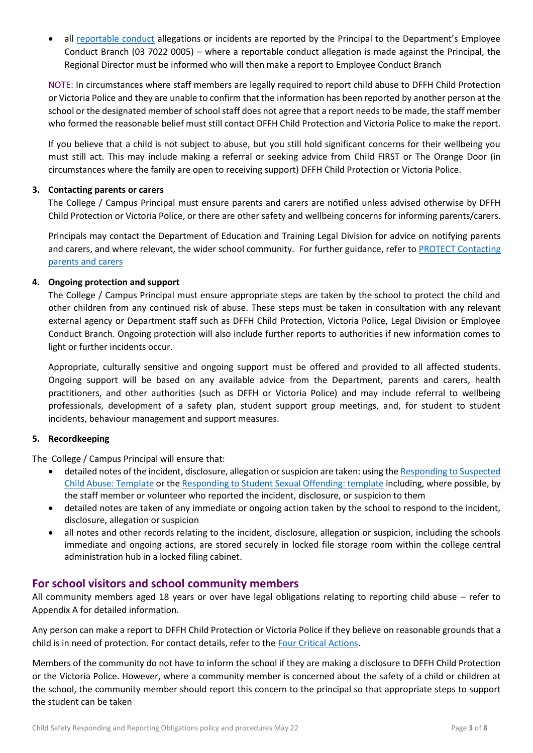all [reportable conduct](https://www2.education.vic.gov.au/pal/reportable-conduct-scheme/policy) allegations or incidents are reported by the Principal to the Department's Employee Conduct Branch (03 7022 0005) – where a reportable conduct allegation is made against the Principal, the Regional Director must be informed who will then make a report to Employee Conduct Branch

NOTE: In circumstances where staff members are legally required to report child abuse to DFFH Child Protection or Victoria Police and they are unable to confirm that the information has been reported by another person at the school or the designated member of school staff does not agree that a report needs to be made, the staff member who formed the reasonable belief must still contact DFFH Child Protection and Victoria Police to make the report.

If you believe that a child is not subject to abuse, but you still hold significant concerns for their wellbeing you must still act. This may include making a referral or seeking advice from Child FIRST or The Orange Door (in circumstances where the family are open to receiving support) DFFH Child Protection or Victoria Police.

## **3. Contacting parents or carers**

The College / Campus Principal must ensure parents and carers are notified unless advised otherwise by DFFH Child Protection or Victoria Police, or there are other safety and wellbeing concerns for informing parents/carers.

Principals may contact the Department of Education and Training Legal Division for advice on notifying parents and carers, and where relevant, the wider school community. For further guidance, refer to PROTECT Contacting [parents and carers](https://www.education.vic.gov.au/school/teachers/health/childprotection/Pages/actionthree.aspx)

### **4. Ongoing protection and support**

The College / Campus Principal must ensure appropriate steps are taken by the school to protect the child and other children from any continued risk of abuse. These steps must be taken in consultation with any relevant external agency or Department staff such as DFFH Child Protection, Victoria Police, Legal Division or Employee Conduct Branch. Ongoing protection will also include further reports to authorities if new information comes to light or further incidents occur.

Appropriate, culturally sensitive and ongoing support must be offered and provided to all affected students. Ongoing support will be based on any available advice from the Department, parents and carers, health practitioners, and other authorities (such as DFFH or Victoria Police) and may include referral to wellbeing professionals, development of a safety plan, student support group meetings, and, for student to student incidents, behaviour management and support measures.

#### **5. Recordkeeping**

The College / Campus Principal will ensure that:

- detailed notes of the incident, disclosure, allegation or suspicion are taken: using th[e Responding to Suspected](https://www.education.vic.gov.au/Documents/about/programs/health/protect/PROTECT_Schoolstemplate.pdf)  [Child Abuse: Template](https://www.education.vic.gov.au/Documents/about/programs/health/protect/PROTECT_Schoolstemplate.pdf) or th[e Responding to Student Sexual Offending: template](https://www.education.vic.gov.au/Documents/about/programs/health/protect/SSO_ReportingTemplate.docx) including, where possible, by the staff member or volunteer who reported the incident, disclosure, or suspicion to them
- detailed notes are taken of any immediate or ongoing action taken by the school to respond to the incident, disclosure, allegation or suspicion
- all notes and other records relating to the incident, disclosure, allegation or suspicion, including the schools immediate and ongoing actions, are stored securely in locked file storage room within the college central administration hub in a locked filing cabinet.

## **For school visitors and school community members**

All community members aged 18 years or over have legal obligations relating to reporting child abuse – refer to Appendix A for detailed information.

Any person can make a report to DFFH Child Protection or Victoria Police if they believe on reasonable grounds that a child is in need of protection. For contact details, refer to th[e Four Critical Actions.](https://www.education.vic.gov.au/Documents/about/programs/health/protect/FourCriticalActions_ChildAbuse.pdf)

Members of the community do not have to inform the school if they are making a disclosure to DFFH Child Protection or the Victoria Police. However, where a community member is concerned about the safety of a child or children at the school, the community member should report this concern to the principal so that appropriate steps to support the student can be taken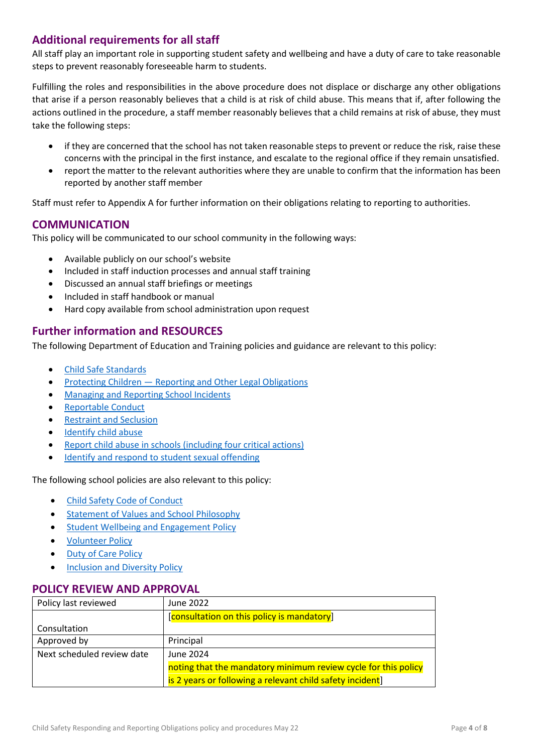## **Additional requirements for all staff**

All staff play an important role in supporting student safety and wellbeing and have a duty of care to take reasonable steps to prevent reasonably foreseeable harm to students.

Fulfilling the roles and responsibilities in the above procedure does not displace or discharge any other obligations that arise if a person reasonably believes that a child is at risk of child abuse. This means that if, after following the actions outlined in the procedure, a staff member reasonably believes that a child remains at risk of abuse, they must take the following steps:

- if they are concerned that the school has not taken reasonable steps to prevent or reduce the risk, raise these concerns with the principal in the first instance, and escalate to the regional office if they remain unsatisfied.
- report the matter to the relevant authorities where they are unable to confirm that the information has been reported by another staff member

Staff must refer to Appendix A for further information on their obligations relating to reporting to authorities.

## **COMMUNICATION**

This policy will be communicated to our school community in the following ways:

- Available publicly on our school's website
- Included in staff induction processes and annual staff training
- Discussed an annual staff briefings or meetings
- Included in staff handbook or manual
- Hard copy available from school administration upon request

## **Further information and RESOURCES**

The following Department of Education and Training policies and guidance are relevant to this policy:

- [Child Safe Standards](https://www2.education.vic.gov.au/pal/child-safe-standards/policy)
- Protecting Children [Reporting and Other Legal Obligations](https://www2.education.vic.gov.au/pal/protecting-children/policy)
- [Managing and Reporting School Incidents](https://www2.education.vic.gov.au/pal/reporting-and-managing-school-incidents-including-emergencies/policy)
- [Reportable Conduct](https://www2.education.vic.gov.au/pal/reportable-conduct-scheme/policy)
- [Restraint and Seclusion](https://www2.education.vic.gov.au/pal/restraint-seclusion/policy)
- [Identify child abuse](https://www.education.vic.gov.au/school/teachers/health/childprotection/Pages/identify.aspx)
- [Report child abuse in schools \(including four critical actions\)](https://www.education.vic.gov.au/school/teachers/health/childprotection/Pages/report.aspx)
- [Identify and respond to student sexual offending](https://www.education.vic.gov.au/school/teachers/health/childprotection/Pages/stusexual.aspx)

#### The following school policies are also relevant to this policy:

- [Child Safety Code of Conduct](https://www.nbc.vic.edu.au/uploads/PDFS/Child-Satey-Code-of-Conduct-May-2022.pdf)
- **•** [Statement of Values and School Philosophy](https://www.nbc.vic.edu.au/uploads/School-Philosophy-Statement-of-values.pdf)
- **•** [Student Wellbeing and Engagement Policy](https://www.nbc.vic.edu.au/uploads/PDFS/STUDENT-WELLBEING-AND-ENGAGEMENT-POLICY.pdf)
- **[Volunteer](https://www.nbc.vic.edu.au/uploads/PDFS/volunteering-policy.pdf) Policy**
- [Duty of Care Policy](https://www.nbc.vic.edu.au/uploads/PDFS/duty-of-care.pdf)
- [Inclusion and Diversity Policy](https://www.nbc.vic.edu.au/uploads/PDFS/inclusion-and-diversity.pdf)

## **POLICY REVIEW AND APPROVAL**

| Policy last reviewed       | June 2022                                                      |
|----------------------------|----------------------------------------------------------------|
|                            | [consultation on this policy is mandatory]                     |
| Consultation               |                                                                |
| Approved by                | Principal                                                      |
| Next scheduled review date | June 2024                                                      |
|                            | noting that the mandatory minimum review cycle for this policy |
|                            | is 2 years or following a relevant child safety incident       |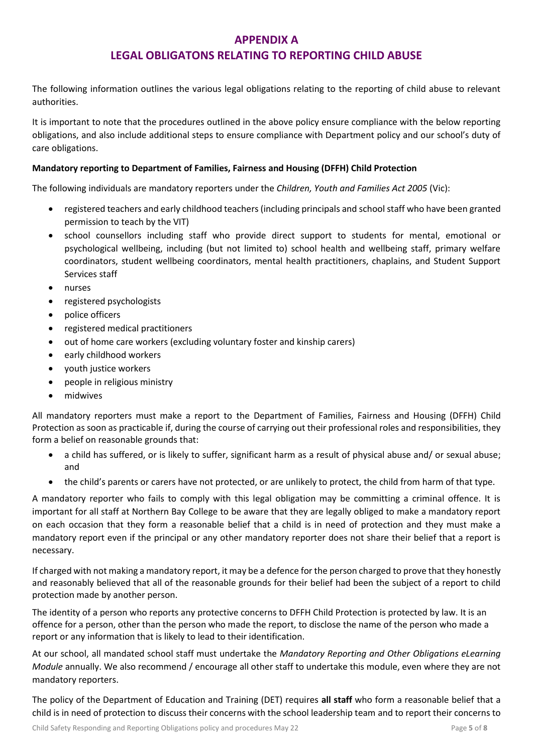## **APPENDIX A**

## **LEGAL OBLIGATONS RELATING TO REPORTING CHILD ABUSE**

The following information outlines the various legal obligations relating to the reporting of child abuse to relevant authorities.

It is important to note that the procedures outlined in the above policy ensure compliance with the below reporting obligations, and also include additional steps to ensure compliance with Department policy and our school's duty of care obligations.

### **Mandatory reporting to Department of Families, Fairness and Housing (DFFH) Child Protection**

The following individuals are mandatory reporters under the *Children, Youth and Families Act 2005* (Vic):

- registered teachers and early childhood teachers (including principals and school staff who have been granted permission to teach by the VIT)
- school counsellors including staff who provide direct support to students for mental, emotional or psychological wellbeing, including (but not limited to) school health and wellbeing staff, primary welfare coordinators, student wellbeing coordinators, mental health practitioners, chaplains, and Student Support Services staff
- nurses
- registered psychologists
- police officers
- registered medical practitioners
- out of home care workers (excluding voluntary foster and kinship carers)
- early childhood workers
- youth justice workers
- people in religious ministry
- midwives

All mandatory reporters must make a report to the Department of Families, Fairness and Housing (DFFH) Child Protection as soon as practicable if, during the course of carrying out their professional roles and responsibilities, they form a belief on reasonable grounds that:

- a child has suffered, or is likely to suffer, significant harm as a result of physical abuse and/ or sexual abuse; and
- the child's parents or carers have not protected, or are unlikely to protect, the child from harm of that type.

A mandatory reporter who fails to comply with this legal obligation may be committing a criminal offence. It is important for all staff at Northern Bay College to be aware that they are legally obliged to make a mandatory report on each occasion that they form a reasonable belief that a child is in need of protection and they must make a mandatory report even if the principal or any other mandatory reporter does not share their belief that a report is necessary.

If charged with not making a mandatory report, it may be a defence for the person charged to prove that they honestly and reasonably believed that all of the reasonable grounds for their belief had been the subject of a report to child protection made by another person.

The identity of a person who reports any protective concerns to DFFH Child Protection is protected by law. It is an offence for a person, other than the person who made the report, to disclose the name of the person who made a report or any information that is likely to lead to their identification.

At our school, all mandated school staff must undertake the *Mandatory Reporting and Other Obligations eLearning Module* annually. We also recommend / encourage all other staff to undertake this module, even where they are not mandatory reporters.

The policy of the Department of Education and Training (DET) requires **all staff** who form a reasonable belief that a child is in need of protection to discuss their concerns with the school leadership team and to report their concerns to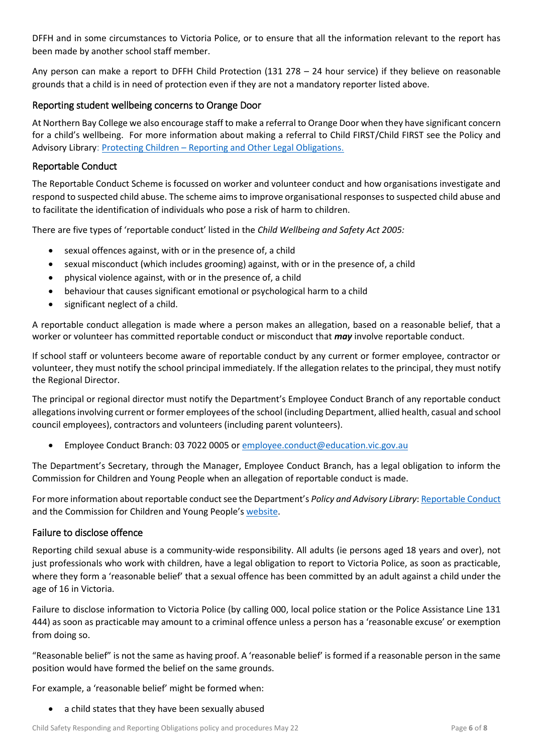DFFH and in some circumstances to Victoria Police, or to ensure that all the information relevant to the report has been made by another school staff member.

Any person can make a report to DFFH Child Protection (131 278 – 24 hour service) if they believe on reasonable grounds that a child is in need of protection even if they are not a mandatory reporter listed above.

## Reporting student wellbeing concerns to Orange Door

At Northern Bay College we also encourage staff to make a referral to Orange Door when they have significant concern for a child's wellbeing. For more information about making a referral to Child FIRST/Child FIRST see the Policy and Advisory Library: Protecting Children – [Reporting and Other Legal Obligations](https://www2.education.vic.gov.au/pal/protecting-children/policy).

## Reportable Conduct

The Reportable Conduct Scheme is focussed on worker and volunteer conduct and how organisations investigate and respond to suspected child abuse. The scheme aims to improve organisational responses to suspected child abuse and to facilitate the identification of individuals who pose a risk of harm to children.

There are five types of 'reportable conduct' listed in the *Child Wellbeing and Safety Act 2005:*

- sexual offences against, with or in the presence of, a child
- sexual misconduct (which includes grooming) against, with or in the presence of, a child
- physical violence against, with or in the presence of, a child
- behaviour that causes significant emotional or psychological harm to a child
- significant neglect of a child.

A reportable conduct allegation is made where a person makes an allegation, based on a reasonable belief, that a worker or volunteer has committed reportable conduct or misconduct that *may* involve reportable conduct.

If school staff or volunteers become aware of reportable conduct by any current or former employee, contractor or volunteer, they must notify the school principal immediately. If the allegation relates to the principal, they must notify the Regional Director.

The principal or regional director must notify the Department's Employee Conduct Branch of any reportable conduct allegations involving current or former employees of the school (including Department, allied health, casual and school council employees), contractors and volunteers (including parent volunteers).

Employee Conduct Branch: 03 7022 0005 o[r employee.conduct@education.vic.gov.au](mailto:employee.conduct@education.vic.gov.au)

The Department's Secretary, through the Manager, Employee Conduct Branch, has a legal obligation to inform the Commission for Children and Young People when an allegation of reportable conduct is made.

For more information about reportable conduct see the Department's *Policy and Advisory Library*[: Reportable Conduct](https://www2.education.vic.gov.au/pal/reportable-conduct-scheme/policy) and the Commission for Children and Young People's [website.](https://ccyp.vic.gov.au/reportable-conduct-scheme/)

## Failure to disclose offence

Reporting child sexual abuse is a community-wide responsibility. All adults (ie persons aged 18 years and over), not just professionals who work with children, have a legal obligation to report to Victoria Police, as soon as practicable, where they form a 'reasonable belief' that a sexual offence has been committed by an adult against a child under the age of 16 in Victoria.

Failure to disclose information to Victoria Police (by calling 000, local police station or the Police Assistance Line 131 444) as soon as practicable may amount to a criminal offence unless a person has a 'reasonable excuse' or exemption from doing so.

"Reasonable belief" is not the same as having proof. A 'reasonable belief' is formed if a reasonable person in the same position would have formed the belief on the same grounds.

For example, a 'reasonable belief' might be formed when:

a child states that they have been sexually abused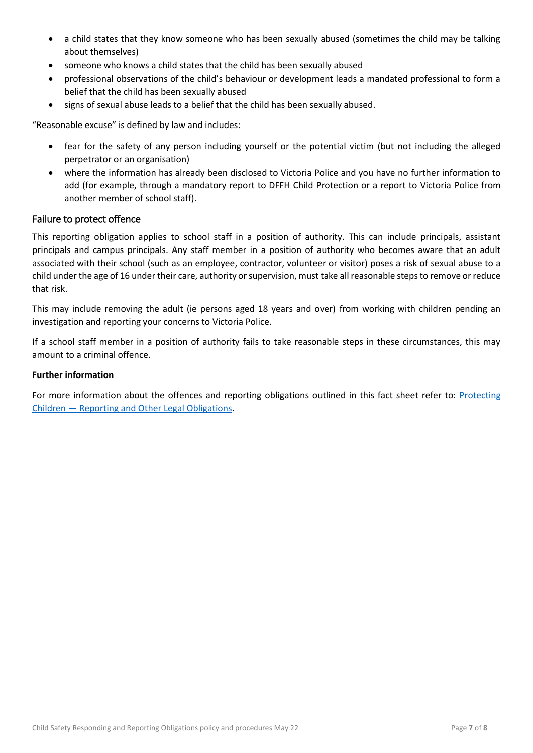- a child states that they know someone who has been sexually abused (sometimes the child may be talking about themselves)
- someone who knows a child states that the child has been sexually abused
- professional observations of the child's behaviour or development leads a mandated professional to form a belief that the child has been sexually abused
- signs of sexual abuse leads to a belief that the child has been sexually abused.

"Reasonable excuse" is defined by law and includes:

- fear for the safety of any person including yourself or the potential victim (but not including the alleged perpetrator or an organisation)
- where the information has already been disclosed to Victoria Police and you have no further information to add (for example, through a mandatory report to DFFH Child Protection or a report to Victoria Police from another member of school staff).

### Failure to protect offence

This reporting obligation applies to school staff in a position of authority. This can include principals, assistant principals and campus principals. Any staff member in a position of authority who becomes aware that an adult associated with their school (such as an employee, contractor, volunteer or visitor) poses a risk of sexual abuse to a child under the age of 16 under their care, authority or supervision, must take all reasonable steps to remove or reduce that risk.

This may include removing the adult (ie persons aged 18 years and over) from working with children pending an investigation and reporting your concerns to Victoria Police.

If a school staff member in a position of authority fails to take reasonable steps in these circumstances, this may amount to a criminal offence.

#### **Further information**

For more information about the offences and reporting obligations outlined in this fact sheet refer to: [Protecting](https://www2.education.vic.gov.au/pal/protecting-children/policy)  Children — [Reporting and Other Legal Obligations.](https://www2.education.vic.gov.au/pal/protecting-children/policy)